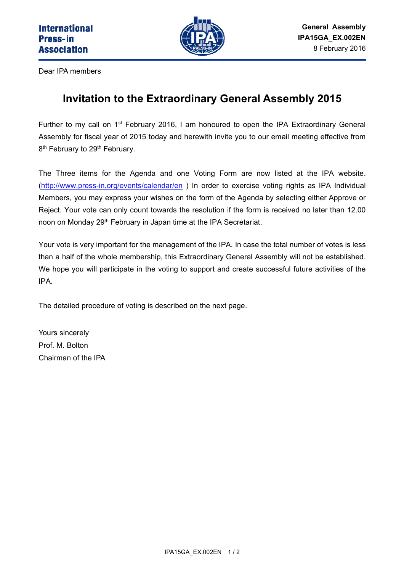

Dear IPA members

# **Invitation to the Extraordinary General Assembly 2015**

Further to my call on 1<sup>st</sup> February 2016, I am honoured to open the IPA Extraordinary General Assembly for fiscal year of 2015 today and herewith invite you to our email meeting effective from 8<sup>th</sup> February to 29<sup>th</sup> February.

The Three items for the Agenda and one Voting Form are now listed at the IPA website. (http://www.press-in.org/events/calendar/en ) In order to exercise voting rights as IPA Individual Members, you may express your wishes on the form of the Agenda by selecting either Approve or Reject. Your vote can only count towards the resolution if the form is received no later than 12.00 noon on Monday 29th February in Japan time at the IPA Secretariat.

Your vote is very important for the management of the IPA. In case the total number of votes is less than a half of the whole membership, this Extraordinary General Assembly will not be established. We hope you will participate in the voting to support and create successful future activities of the IPA.

The detailed procedure of voting is described on the next page.

Yours sincerely Prof. M. Bolton Chairman of the IPA